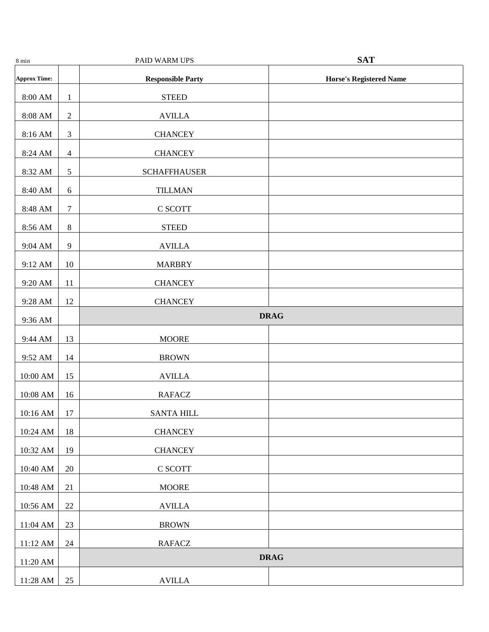| 8 min               |                | PAID WARM UPS            | <b>SAT</b>                     |
|---------------------|----------------|--------------------------|--------------------------------|
| <b>Approx Time:</b> |                | <b>Responsible Party</b> | <b>Horse's Registered Name</b> |
| $8:00~\mathrm{AM}$  | $\mathbf{1}$   | <b>STEED</b>             |                                |
| $8:08~\mathrm{AM}$  | $\sqrt{2}$     | $\operatorname{AVILLA}$  |                                |
| 8:16 AM             | $\mathfrak{Z}$ | <b>CHANCEY</b>           |                                |
| 8:24 AM             | $\overline{4}$ | <b>CHANCEY</b>           |                                |
| 8:32 AM             | $\mathfrak{S}$ | <b>SCHAFFHAUSER</b>      |                                |
| 8:40 AM             | $6\,$          | <b>TILLMAN</b>           |                                |
| 8:48 AM             | $\tau$         | C SCOTT                  |                                |
| 8:56 AM             | $\,8\,$        | <b>STEED</b>             |                                |
| 9:04 AM             | $\overline{9}$ | <b>AVILLA</b>            |                                |
| 9:12 AM             | 10             | <b>MARBRY</b>            |                                |
| 9:20 AM             | 11             | <b>CHANCEY</b>           |                                |
| 9:28 AM             | 12             | <b>CHANCEY</b>           |                                |
| 9:36 AM             |                |                          | <b>DRAG</b>                    |
| 9:44 AM             | 13             | <b>MOORE</b>             |                                |
| 9:52 AM             | 14             | <b>BROWN</b>             |                                |
| 10:00 AM            | 15             | <b>AVILLA</b>            |                                |
| 10:08 AM            | 16             | <b>RAFACZ</b>            |                                |
| $10:16$ AM          | $17\,$         | <b>SANTA HILL</b>        |                                |
| 10:24 AM            | 18             | <b>CHANCEY</b>           |                                |
| 10:32 AM            | 19             | <b>CHANCEY</b>           |                                |
| 10:40 AM            | $20\,$         | C SCOTT                  |                                |
| 10:48 AM            | 21             | <b>MOORE</b>             |                                |
| 10:56 AM            | $22\,$         | <b>AVILLA</b>            |                                |
| 11:04 AM            | $23\,$         | <b>BROWN</b>             |                                |
| 11:12 AM            | $24\,$         | <b>RAFACZ</b>            |                                |
| $11:20~\mathrm{AM}$ |                | <b>DRAG</b>              |                                |
| 11:28 AM            | 25             | $\operatorname{AVILLA}$  |                                |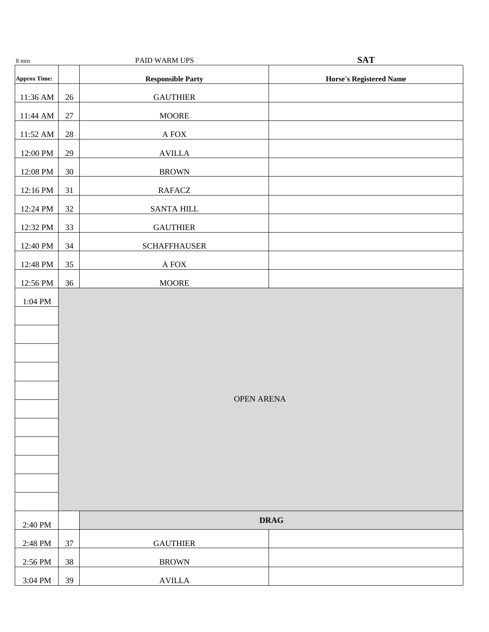| $8 \text{ min}$      |        | PAID WARM UPS            | <b>SAT</b>                     |  |
|----------------------|--------|--------------------------|--------------------------------|--|
| <b>Approx Time:</b>  |        | <b>Responsible Party</b> | <b>Horse's Registered Name</b> |  |
| 11:36 AM             | $26\,$ | <b>GAUTHIER</b>          |                                |  |
| 11:44 AM             | $27\,$ | <b>MOORE</b>             |                                |  |
| 11:52 AM             | $28\,$ | $\mathbf A$ FOX          |                                |  |
| 12:00 PM             | 29     | $\operatorname{AVILLA}$  |                                |  |
| 12:08 PM             | $30\,$ | <b>BROWN</b>             |                                |  |
| 12:16 PM             | 31     | <b>RAFACZ</b>            |                                |  |
| 12:24 PM             | 32     | SANTA HILL               |                                |  |
| 12:32 PM             | 33     | <b>GAUTHIER</b>          |                                |  |
| 12:40 PM             | 34     | <b>SCHAFFHAUSER</b>      |                                |  |
| 12:48 PM             | 35     | $\mathbf A$ FOX          |                                |  |
| 12:56 PM             | 36     | <b>MOORE</b>             |                                |  |
| $1:04$ $\mathrm{PM}$ |        | <b>OPEN ARENA</b>        |                                |  |
| 2:40 PM              |        |                          | <b>DRAG</b>                    |  |
| 2:48 PM              | 37     | <b>GAUTHIER</b>          |                                |  |
| 2:56 PM              | $38\,$ | <b>BROWN</b>             |                                |  |
| $3:04 \mathrm{\ PM}$ | 39     | $\operatorname{AVILLA}$  |                                |  |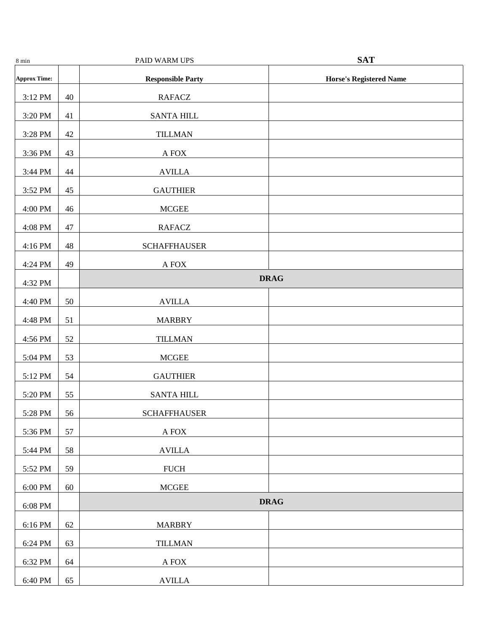| 8 min                 |    | PAID WARM UPS            | <b>SAT</b>                     |
|-----------------------|----|--------------------------|--------------------------------|
| <b>Approx Time:</b>   |    | <b>Responsible Party</b> | <b>Horse's Registered Name</b> |
| 3:12 PM               | 40 | <b>RAFACZ</b>            |                                |
| 3:20 PM               | 41 | <b>SANTA HILL</b>        |                                |
| 3:28 PM               | 42 | <b>TILLMAN</b>           |                                |
| 3:36 PM               | 43 | $\mathbf A$ FOX          |                                |
| 3:44 PM               | 44 | <b>AVILLA</b>            |                                |
| 3:52 PM               | 45 | <b>GAUTHIER</b>          |                                |
| 4:00 PM               | 46 | <b>MCGEE</b>             |                                |
| 4:08 PM               | 47 | <b>RAFACZ</b>            |                                |
| 4:16 PM               | 48 | <b>SCHAFFHAUSER</b>      |                                |
| 4:24 PM               | 49 | $\mathbf A$ FOX          |                                |
| 4:32 PM               |    |                          | <b>DRAG</b>                    |
| 4:40 PM               | 50 | <b>AVILLA</b>            |                                |
| 4:48 PM               | 51 | <b>MARBRY</b>            |                                |
| 4:56 PM               | 52 | <b>TILLMAN</b>           |                                |
| 5:04 PM               | 53 | <b>MCGEE</b>             |                                |
| 5:12 PM               | 54 | <b>GAUTHIER</b>          |                                |
| 5:20 PM               | 55 | <b>SANTA HILL</b>        |                                |
| 5:28 PM               | 56 | <b>SCHAFFHAUSER</b>      |                                |
| 5:36 PM               | 57 | $\mathbf A$ FOX          |                                |
| 5:44 PM               | 58 | <b>AVILLA</b>            |                                |
| 5:52 PM               | 59 | ${\rm FUCH}$             |                                |
| $6:00 \; \mathrm{PM}$ | 60 | <b>MCGEE</b>             |                                |
| $6:08$ $\mathrm{PM}$  |    |                          | <b>DRAG</b>                    |
| 6:16 PM               | 62 | <b>MARBRY</b>            |                                |
| 6:24 PM               | 63 | <b>TILLMAN</b>           |                                |
| 6:32 PM               | 64 | $\mathbf A$ FOX          |                                |
| 6:40 PM               | 65 | <b>AVILLA</b>            |                                |